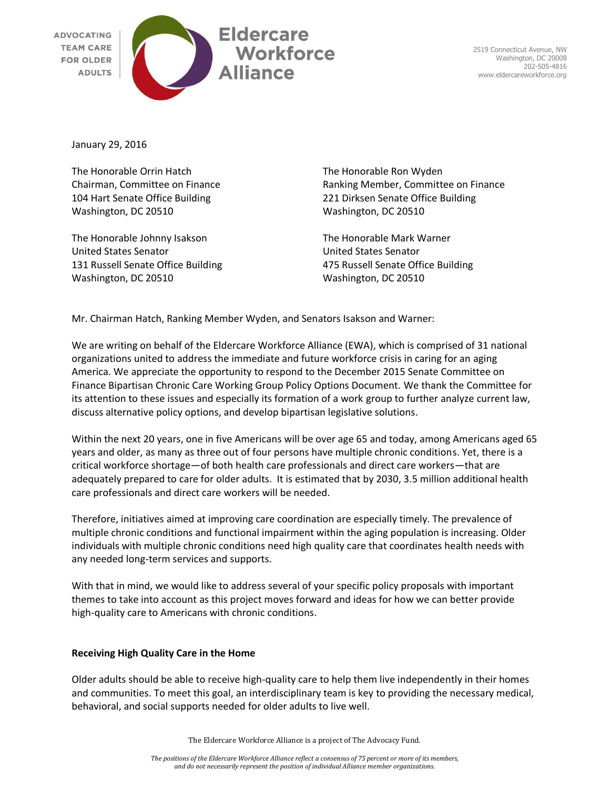

2519 Connecticut Avenue, NW Washington, DC 20008 202-505-4816 www.eldercareworkforce.org

January 29, 2016

The Honorable Orrin Hatch The Honorable Ron Wyden Washington, DC 20510 Washington, DC 20510

The Honorable Johnny Isakson The Honorable Mark Warner United States Senator United States Senator 131 Russell Senate Office Building 475 Russell Senate Office Building Washington, DC 20510 Washington, DC 20510

Chairman, Committee on Finance Ranking Member, Committee on Finance 104 Hart Senate Office Building 221 Dirksen Senate Office Building

Mr. Chairman Hatch, Ranking Member Wyden, and Senators Isakson and Warner:

We are writing on behalf of the Eldercare Workforce Alliance (EWA), which is comprised of 31 national organizations united to address the immediate and future workforce crisis in caring for an aging America. We appreciate the opportunity to respond to the December 2015 Senate Committee on Finance Bipartisan Chronic Care Working Group Policy Options Document. We thank the Committee for its attention to these issues and especially its formation of a work group to further analyze current law, discuss alternative policy options, and develop bipartisan legislative solutions.

Within the next 20 years, one in five Americans will be over age 65 and today, among Americans aged 65 years and older, as many as three out of four persons have multiple chronic conditions. Yet, there is a critical workforce shortage—of both health care professionals and direct care workers—that are adequately prepared to care for older adults. It is estimated that by 2030, 3.5 million additional health care professionals and direct care workers will be needed.

Therefore, initiatives aimed at improving care coordination are especially timely. The prevalence of multiple chronic conditions and functional impairment within the aging population is increasing. Older individuals with multiple chronic conditions need high quality care that coordinates health needs with any needed long-term services and supports.

With that in mind, we would like to address several of your specific policy proposals with important themes to take into account as this project moves forward and ideas for how we can better provide high-quality care to Americans with chronic conditions.

# **Receiving High Quality Care in the Home**

Older adults should be able to receive high-quality care to help them live independently in their homes and communities. To meet this goal, an interdisciplinary team is key to providing the necessary medical, behavioral, and social supports needed for older adults to live well.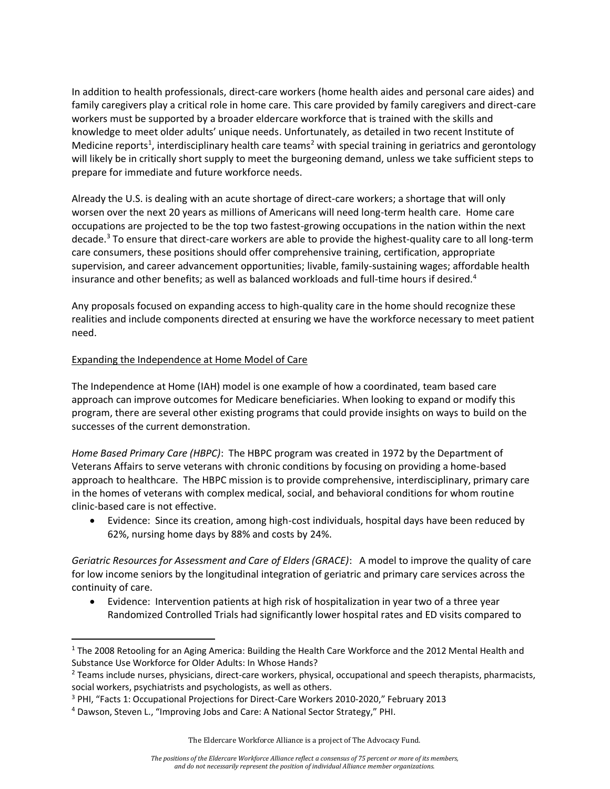In addition to health professionals, direct-care workers (home health aides and personal care aides) and family caregivers play a critical role in home care. This care provided by family caregivers and direct-care workers must be supported by a broader eldercare workforce that is trained with the skills and knowledge to meet older adults' unique needs. Unfortunately, as detailed in two recent Institute of Medicine reports<sup>1</sup>, interdisciplinary health care teams<sup>2</sup> with special training in geriatrics and gerontology will likely be in critically short supply to meet the burgeoning demand, unless we take sufficient steps to prepare for immediate and future workforce needs.

Already the U.S. is dealing with an acute shortage of direct-care workers; a shortage that will only worsen over the next 20 years as millions of Americans will need long-term health care. Home care occupations are projected to be the top two fastest-growing occupations in the nation within the next decade.<sup>3</sup> To ensure that direct-care workers are able to provide the highest-quality care to all long-term care consumers, these positions should offer comprehensive training, certification, appropriate supervision, and career advancement opportunities; livable, family-sustaining wages; affordable health insurance and other benefits; as well as balanced workloads and full-time hours if desired.<sup>4</sup>

Any proposals focused on expanding access to high-quality care in the home should recognize these realities and include components directed at ensuring we have the workforce necessary to meet patient need.

# Expanding the Independence at Home Model of Care

The Independence at Home (IAH) model is one example of how a coordinated, team based care approach can improve outcomes for Medicare beneficiaries. When looking to expand or modify this program, there are several other existing programs that could provide insights on ways to build on the successes of the current demonstration.

*Home Based Primary Care (HBPC)*: The HBPC program was created in 1972 by the Department of Veterans Affairs to serve veterans with chronic conditions by focusing on providing a home-based approach to healthcare. The HBPC mission is to provide comprehensive, interdisciplinary, primary care in the homes of veterans with complex medical, social, and behavioral conditions for whom routine clinic-based care is not effective.

 Evidence: Since its creation, among high-cost individuals, hospital days have been reduced by 62%, nursing home days by 88% and costs by 24%.

*Geriatric Resources for Assessment and Care of Elders (GRACE)*: A model to improve the quality of care for low income seniors by the longitudinal integration of geriatric and primary care services across the continuity of care.

 Evidence: Intervention patients at high risk of hospitalization in year two of a three year Randomized Controlled Trials had significantly lower hospital rates and ED visits compared to

 $\overline{a}$ <sup>1</sup> The 2008 Retooling for an Aging America: Building the Health Care Workforce and the 2012 Mental Health and Substance Use Workforce for Older Adults: In Whose Hands?

<sup>&</sup>lt;sup>2</sup> Teams include nurses, physicians, direct-care workers, physical, occupational and speech therapists, pharmacists, social workers, psychiatrists and psychologists, as well as others.

<sup>&</sup>lt;sup>3</sup> PHI, "Facts 1: Occupational Projections for Direct-Care Workers 2010-2020," February 2013

<sup>4</sup> Dawson, Steven L., "Improving Jobs and Care: A National Sector Strategy," PHI.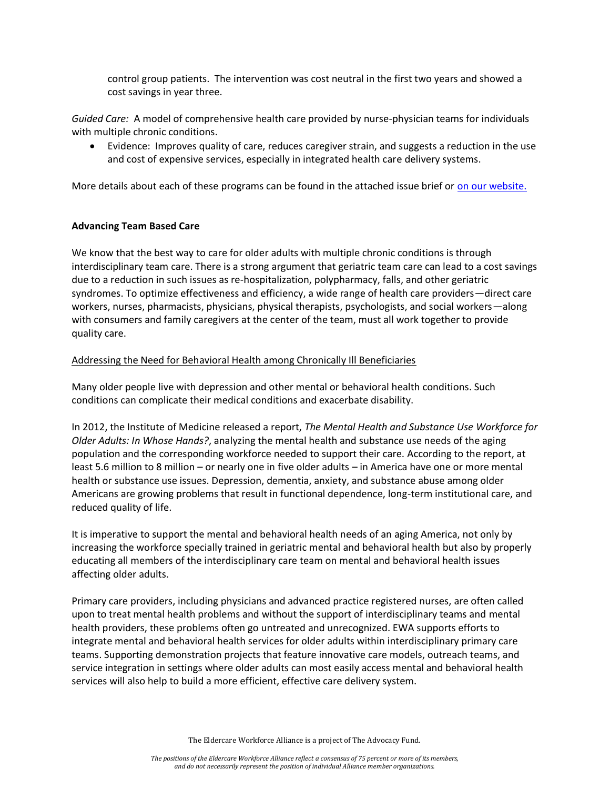control group patients. The intervention was cost neutral in the first two years and showed a cost savings in year three.

*Guided Care:* A model of comprehensive health care provided by nurse-physician teams for individuals with multiple chronic conditions.

 Evidence: Improves quality of care, reduces caregiver strain, and suggests a reduction in the use and cost of expensive services, especially in integrated health care delivery systems.

More details about each of these programs can be found in the attached issue brief or [on our website.](http://www.eldercareworkforce.org/research/issue-briefs/research:care-coordination-brief/)

# **Advancing Team Based Care**

We know that the best way to care for older adults with multiple chronic conditions is through interdisciplinary team care. There is a strong argument that geriatric team care can lead to a cost savings due to a reduction in such issues as re-hospitalization, polypharmacy, falls, and other geriatric syndromes. To optimize effectiveness and efficiency, a wide range of health care providers—direct care workers, nurses, pharmacists, physicians, physical therapists, psychologists, and social workers—along with consumers and family caregivers at the center of the team, must all work together to provide quality care.

# Addressing the Need for Behavioral Health among Chronically Ill Beneficiaries

Many older people live with depression and other mental or behavioral health conditions. Such conditions can complicate their medical conditions and exacerbate disability.

In 2012, the Institute of Medicine released a report, *The Mental Health and Substance Use Workforce for Older Adults: In Whose Hands?*, analyzing the mental health and substance use needs of the aging population and the corresponding workforce needed to support their care. According to the report, at least 5.6 million to 8 million – or nearly one in five older adults – in America have one or more mental health or substance use issues. Depression, dementia, anxiety, and substance abuse among older Americans are growing problems that result in functional dependence, long-term institutional care, and reduced quality of life.

It is imperative to support the mental and behavioral health needs of an aging America, not only by increasing the workforce specially trained in geriatric mental and behavioral health but also by properly educating all members of the interdisciplinary care team on mental and behavioral health issues affecting older adults.

Primary care providers, including physicians and advanced practice registered nurses, are often called upon to treat mental health problems and without the support of interdisciplinary teams and mental health providers, these problems often go untreated and unrecognized. EWA supports efforts to integrate mental and behavioral health services for older adults within interdisciplinary primary care teams. Supporting demonstration projects that feature innovative care models, outreach teams, and service integration in settings where older adults can most easily access mental and behavioral health services will also help to build a more efficient, effective care delivery system.

The Eldercare Workforce Alliance is a project of The Advocacy Fund.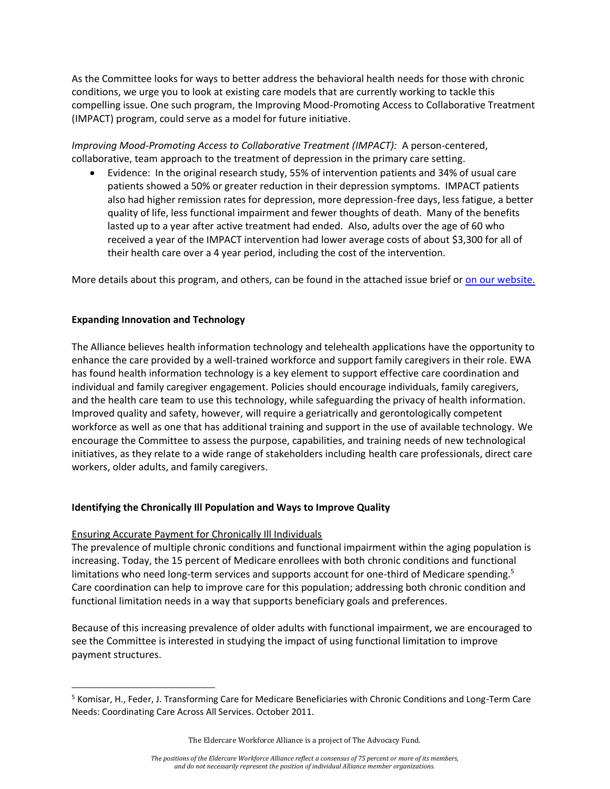As the Committee looks for ways to better address the behavioral health needs for those with chronic conditions, we urge you to look at existing care models that are currently working to tackle this compelling issue. One such program, the Improving Mood-Promoting Access to Collaborative Treatment (IMPACT) program, could serve as a model for future initiative.

*Improving Mood-Promoting Access to Collaborative Treatment (IMPACT):* A person-centered, collaborative, team approach to the treatment of depression in the primary care setting.

 Evidence: In the original research study, 55% of intervention patients and 34% of usual care patients showed a 50% or greater reduction in their depression symptoms. IMPACT patients also had higher remission rates for depression, more depression-free days, less fatigue, a better quality of life, less functional impairment and fewer thoughts of death. Many of the benefits lasted up to a year after active treatment had ended. Also, adults over the age of 60 who received a year of the IMPACT intervention had lower average costs of about \$3,300 for all of their health care over a 4 year period, including the cost of the intervention.

More details about this program, and others, can be found in the attached issue brief or [on our website.](http://www.eldercareworkforce.org/research/issue-briefs/research:care-coordination-brief/)

# **Expanding Innovation and Technology**

The Alliance believes health information technology and telehealth applications have the opportunity to enhance the care provided by a well-trained workforce and support family caregivers in their role. EWA has found health information technology is a key element to support effective care coordination and individual and family caregiver engagement. Policies should encourage individuals, family caregivers, and the health care team to use this technology, while safeguarding the privacy of health information. Improved quality and safety, however, will require a geriatrically and gerontologically competent workforce as well as one that has additional training and support in the use of available technology. We encourage the Committee to assess the purpose, capabilities, and training needs of new technological initiatives, as they relate to a wide range of stakeholders including health care professionals, direct care workers, older adults, and family caregivers.

# **Identifying the Chronically Ill Population and Ways to Improve Quality**

#### Ensuring Accurate Payment for Chronically Ill Individuals

 $\overline{a}$ 

The prevalence of multiple chronic conditions and functional impairment within the aging population is increasing. Today, the 15 percent of Medicare enrollees with both chronic conditions and functional limitations who need long-term services and supports account for one-third of Medicare spending.<sup>5</sup> Care coordination can help to improve care for this population; addressing both chronic condition and functional limitation needs in a way that supports beneficiary goals and preferences.

Because of this increasing prevalence of older adults with functional impairment, we are encouraged to see the Committee is interested in studying the impact of using functional limitation to improve payment structures.

<sup>&</sup>lt;sup>5</sup> Komisar, H., Feder, J. Transforming Care for Medicare Beneficiaries with Chronic Conditions and Long-Term Care Needs: Coordinating Care Across All Services. October 2011.

The Eldercare Workforce Alliance is a project of The Advocacy Fund.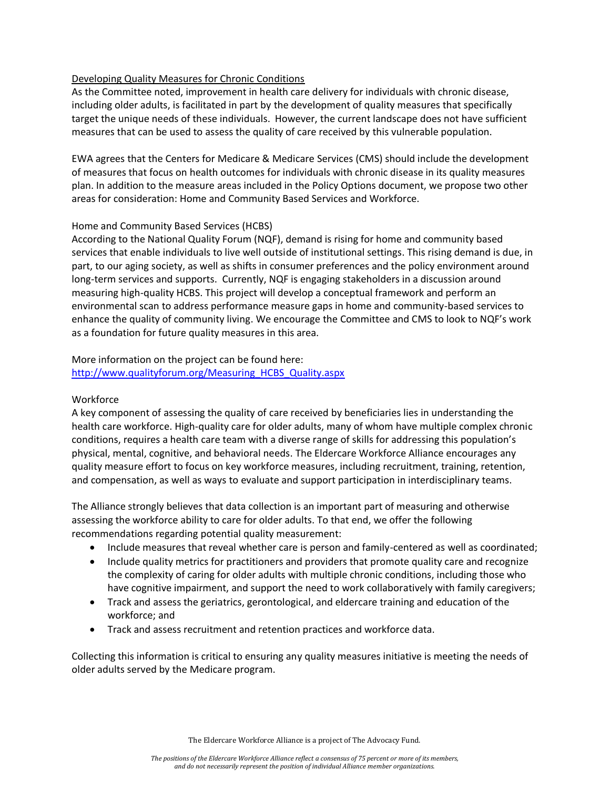# Developing Quality Measures for Chronic Conditions

As the Committee noted, improvement in health care delivery for individuals with chronic disease, including older adults, is facilitated in part by the development of quality measures that specifically target the unique needs of these individuals. However, the current landscape does not have sufficient measures that can be used to assess the quality of care received by this vulnerable population.

EWA agrees that the Centers for Medicare & Medicare Services (CMS) should include the development of measures that focus on health outcomes for individuals with chronic disease in its quality measures plan. In addition to the measure areas included in the Policy Options document, we propose two other areas for consideration: Home and Community Based Services and Workforce.

# Home and Community Based Services (HCBS)

According to the National Quality Forum (NQF), demand is rising for home and community based services that enable individuals to live well outside of institutional settings. This rising demand is due, in part, to our aging society, as well as shifts in consumer preferences and the policy environment around long-term services and supports. Currently, NQF is engaging stakeholders in a discussion around measuring high-quality HCBS. This project will develop a conceptual framework and perform an environmental scan to address performance measure gaps in home and community-based services to enhance the quality of community living. We encourage the Committee and CMS to look to NQF's work as a foundation for future quality measures in this area.

More information on the project can be found here: [http://www.qualityforum.org/Measuring\\_HCBS\\_Quality.aspx](http://www.qualityforum.org/Measuring_HCBS_Quality.aspx)

#### **Workforce**

A key component of assessing the quality of care received by beneficiaries lies in understanding the health care workforce. High-quality care for older adults, many of whom have multiple complex chronic conditions, requires a health care team with a diverse range of skills for addressing this population's physical, mental, cognitive, and behavioral needs. The Eldercare Workforce Alliance encourages any quality measure effort to focus on key workforce measures, including recruitment, training, retention, and compensation, as well as ways to evaluate and support participation in interdisciplinary teams.

The Alliance strongly believes that data collection is an important part of measuring and otherwise assessing the workforce ability to care for older adults. To that end, we offer the following recommendations regarding potential quality measurement:

- Include measures that reveal whether care is person and family-centered as well as coordinated;
- Include quality metrics for practitioners and providers that promote quality care and recognize the complexity of caring for older adults with multiple chronic conditions, including those who have cognitive impairment, and support the need to work collaboratively with family caregivers;
- Track and assess the geriatrics, gerontological, and eldercare training and education of the workforce; and
- Track and assess recruitment and retention practices and workforce data.

Collecting this information is critical to ensuring any quality measures initiative is meeting the needs of older adults served by the Medicare program.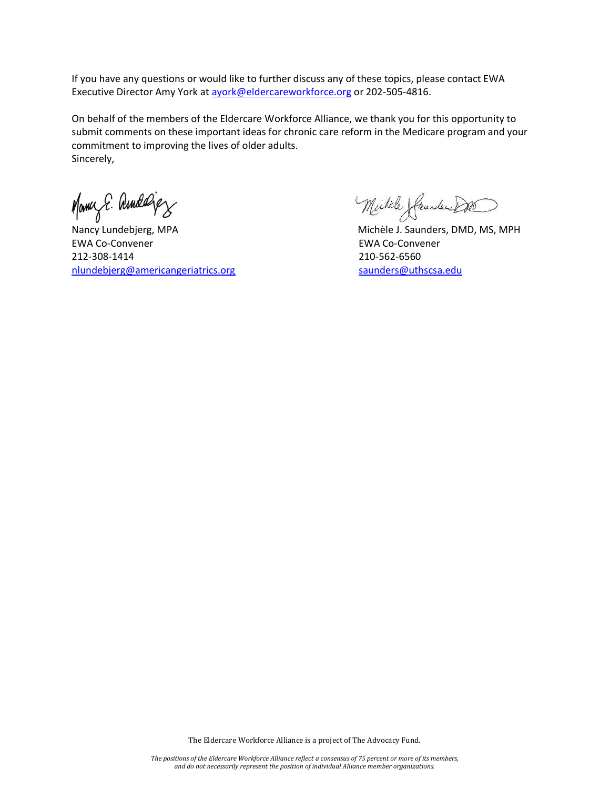If you have any questions or would like to further discuss any of these topics, please contact EWA Executive Director Amy York at avork@eldercareworkforce.org or 202-505-4816.

On behalf of the members of the Eldercare Workforce Alliance, we thank you for this opportunity to submit comments on these important ideas for chronic care reform in the Medicare program and your commitment to improving the lives of older adults. Sincerely,

Many E. Amdeligy

Nancy Lundebjerg, MPA Michèle J. Saunders, DMD, MS, MPH EWA Co-Convener EWA Co-Convener 212-308-1414 210-562-6560 [nlundebjerg@americangeriatrics.org](mailto:nlundebjerg@americangeriatrics.org) [saunders@uthscsa.edu](mailto:saunders@uthscsa.edu)

Michèle (Seundere DO

The Eldercare Workforce Alliance is a project of The Advocacy Fund.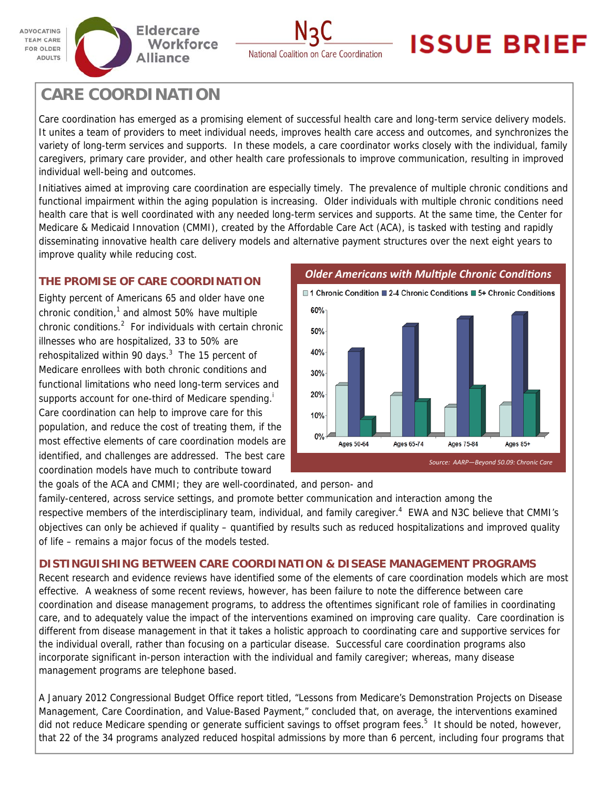



# **ISSUE BRIEF**

# **CARE COORDINATION**

Care coordination has emerged as a promising element of successful health care and long-term service delivery models. It unites a team of providers to meet individual needs, improves health care access and outcomes, and synchronizes the variety of long-term services and supports. In these models, a care coordinator works closely with the individual, family caregivers, primary care provider, and other health care professionals to improve communication, resulting in improved individual well-being and outcomes.

Initiatives aimed at improving care coordination are especially timely. The prevalence of multiple chronic conditions and functional impairment within the aging population is increasing. Older individuals with multiple chronic conditions need health care that is well coordinated with any needed long-term services and supports. At the same time, the Center for Medicare & Medicaid Innovation (CMMI), created by the Affordable Care Act (ACA), is tasked with testing and rapidly disseminating innovative health care delivery models and alternative payment structures over the next eight years to improve quality while reducing cost.

# **THE PROMISE OF CARE COORDINATION**

Eighty percent of Americans 65 and older have one chronic condition, $1$  and almost 50% have multiple chronic conditions. $^2$  For individuals with certain chronic illnesses who are hospitalized, 33 to 50% are rehospitalized within 90 days. $3$  The 15 percent of Medicare enrollees with both chronic conditions and functional limitations who need long-term services and supports account for one-third of Medicare spending.<sup>i</sup> Care coordination can help to improve care for this population, and reduce the cost of treating them, if the most effective elements of care coordination models are identified, and challenges are addressed. The best care coordination models have much to contribute toward

*Older Americans with MulƟple Chronic CondiƟons* 



the goals of the ACA and CMMI; they are well-coordinated, and person- and

family-centered, across service settings, and promote better communication and interaction among the respective members of the interdisciplinary team, individual, and family caregiver.<sup>4</sup> EWA and N3C believe that CMMI's objectives can only be achieved if quality – quantified by results such as reduced hospitalizations and improved quality of life – remains a major focus of the models tested.

# **DISTINGUISHING BETWEEN CARE COORDINATION & DISEASE MANAGEMENT PROGRAMS**

Recent research and evidence reviews have identified some of the elements of care coordination models which are most effective. A weakness of some recent reviews, however, has been failure to note the difference between care coordination and disease management programs, to address the oftentimes significant role of families in coordinating care, and to adequately value the impact of the interventions examined on improving care quality. Care coordination is different from disease management in that it takes a holistic approach to coordinating care and supportive services for the individual overall, rather than focusing on a particular disease. Successful care coordination programs also incorporate significant in-person interaction with the individual and family caregiver; whereas, many disease management programs are telephone based.

A January 2012 Congressional Budget Office report titled, "Lessons from Medicare's Demonstration Projects on Disease Management, Care Coordination, and Value-Based Payment," concluded that, on average, the interventions examined did not reduce Medicare spending or generate sufficient savings to offset program fees.<sup>5</sup> It should be noted, however, that 22 of the 34 programs analyzed reduced hospital admissions by more than 6 percent, including four programs that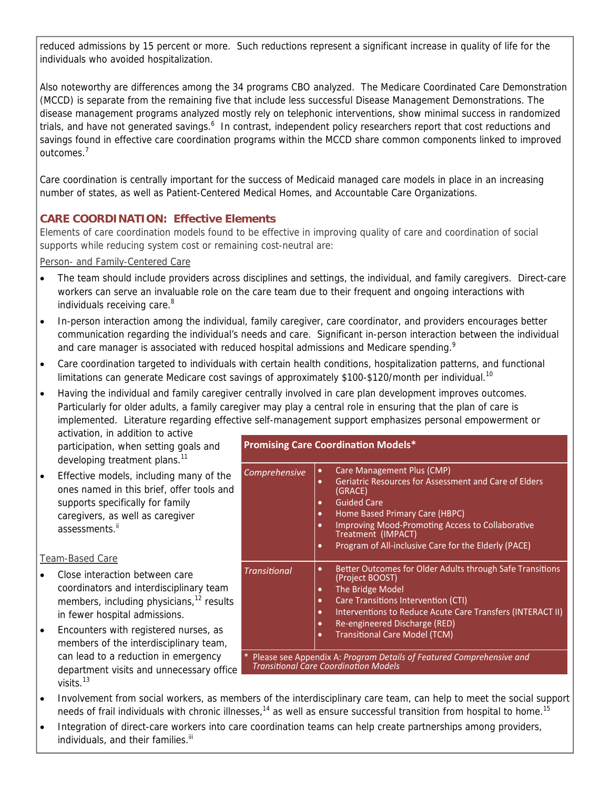reduced admissions by 15 percent or more. Such reductions represent a significant increase in quality of life for the individuals who avoided hospitalization.

Also noteworthy are differences among the 34 programs CBO analyzed. The Medicare Coordinated Care Demonstration (MCCD) is separate from the remaining five that include less successful Disease Management Demonstrations. The disease management programs analyzed mostly rely on telephonic interventions, show minimal success in randomized trials, and have not generated savings.<sup>6</sup> In contrast, independent policy researchers report that cost reductions and savings found in effective care coordination programs within the MCCD share common components linked to improved outcomes.<sup>7</sup>

Care coordination is centrally important for the success of Medicaid managed care models in place in an increasing number of states, as well as Patient-Centered Medical Homes, and Accountable Care Organizations.

# **CARE COORDINATION: Effective Elements**

Elements of care coordination models found to be effective in improving quality of care and coordination of social supports while reducing system cost or remaining cost-neutral are:

Person- and Family-Centered Care

- The team should include providers across disciplines and settings, the individual, and family caregivers. Direct-care workers can serve an invaluable role on the care team due to their frequent and ongoing interactions with individuals receiving care.<sup>8</sup>
- In-person interaction among the individual, family caregiver, care coordinator, and providers encourages better communication regarding the individual's needs and care. Significant in-person interaction between the individual and care manager is associated with reduced hospital admissions and Medicare spending.<sup>9</sup>
- Care coordination targeted to individuals with certain health conditions, hospitalization patterns, and functional limitations can generate Medicare cost savings of approximately \$100-\$120/month per individual.<sup>10</sup>
- Having the individual and family caregiver centrally involved in care plan development improves outcomes. Particularly for older adults, a family caregiver may play a central role in ensuring that the plan of care is implemented. Literature regarding effective self-management support emphasizes personal empowerment or

activation, in addition to active participation, when setting goals and developing treatment plans.<sup>11</sup>

**Effective models, including many of the** ones named in this brief, offer tools and supports specifically for family caregivers, as well as caregiver assessments.<sup>ii</sup>

# Team-Based Care

- Close interaction between care coordinators and interdisciplinary team members, including physicians, $12$  results in fewer hospital admissions.
- Encounters with registered nurses, as members of the interdisciplinary team, can lead to a reduction in emergency department visits and unnecessary office visits.<sup>13</sup>

#### **Promising Care Coordination Models\***

| Comprehensive                                                        | Care Management Plus (CMP)<br>٠<br>Geriatric Resources for Assessment and Care of Elders<br>٠<br>(GRACE)<br><b>Guided Care</b><br>٠<br>Home Based Primary Care (HBPC)<br>٠<br><b>Improving Mood-Promoting Access to Collaborative</b><br>$\bullet$<br>Treatment (IMPACT)<br>Program of All-inclusive Care for the Elderly (PACE)<br>٠ |
|----------------------------------------------------------------------|---------------------------------------------------------------------------------------------------------------------------------------------------------------------------------------------------------------------------------------------------------------------------------------------------------------------------------------|
| <b>Transitional</b>                                                  | Better Outcomes for Older Adults through Safe Transitions<br>٠<br>(Project BOOST)<br>The Bridge Model<br>٠<br>Care Transitions Intervention (CTI)<br>$\bullet$<br>Interventions to Reduce Acute Care Transfers (INTERACT II)<br>٠<br>Re-engineered Discharge (RED)<br>٠<br><b>Transitional Care Model (TCM)</b><br>٠                  |
| Please see Annendix A: Program Details of Featured Comprehensive and |                                                                                                                                                                                                                                                                                                                                       |

**Transitional Care Coordination Models** 

- Involvement from social workers, as members of the interdisciplinary care team, can help to meet the social support needs of frail individuals with chronic illnesses, $14$  as well as ensure successful transition from hospital to home.<sup>15</sup>
- Integration of direct-care workers into care coordination teams can help create partnerships among providers, individuals, and their families.<sup>iii</sup>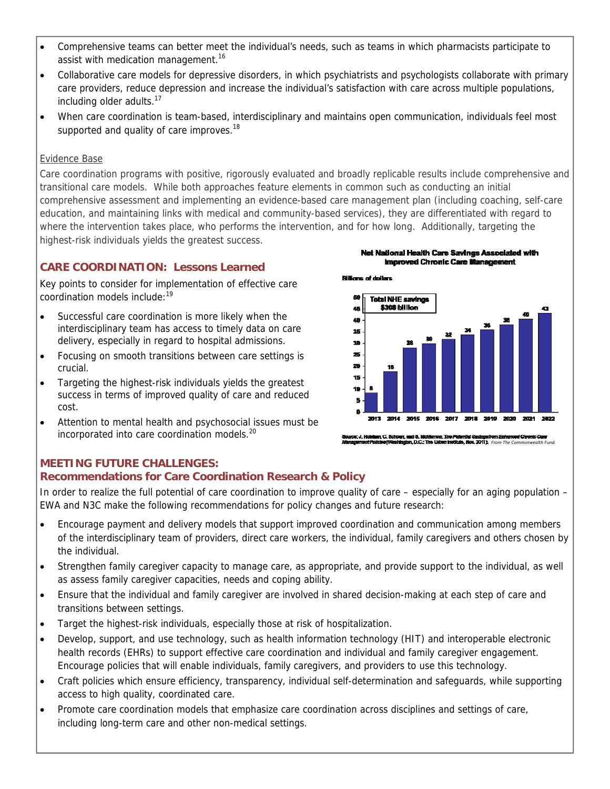- Comprehensive teams can better meet the individual's needs, such as teams in which pharmacists participate to assist with medication management.<sup>16</sup>
- Collaborative care models for depressive disorders, in which psychiatrists and psychologists collaborate with primary care providers, reduce depression and increase the individual's satisfaction with care across multiple populations, including older adults.<sup>17</sup>
- When care coordination is team-based, interdisciplinary and maintains open communication, individuals feel most supported and quality of care improves.<sup>18</sup>

# Evidence Base

Care coordination programs with positive, rigorously evaluated and broadly replicable results include comprehensive and transitional care models. While both approaches feature elements in common such as conducting an initial comprehensive assessment and implementing an evidence-based care management plan (including coaching, self-care education, and maintaining links with medical and community-based services), they are differentiated with regard to where the intervention takes place, who performs the intervention, and for how long. Additionally, targeting the highest-risk individuals yields the greatest success.

**Billions of dollars** 

# **CARE COORDINATION: Lessons Learned**

Key points to consider for implementation of effective care coordination models include:19

- Successful care coordination is more likely when the interdisciplinary team has access to timely data on care delivery, especially in regard to hospital admissions.
- Focusing on smooth transitions between care settings is crucial.
- Targeting the highest-risk individuals yields the greatest success in terms of improved quality of care and reduced cost.
- Attention to mental health and psychosocial issues must be incorporated into care coordination models.<sup>20</sup>





*Bouros: J. Holeliam, C. Schoun, and B. Hicklemow, The Pelemini Saninge from Exhanced Chronic Care***<br>Idenegement/Pelicies/Weshington, D.C.: The Univer Institute, Nov. 2011). From The Commonwealth Fund** 

# **MEETING FUTURE CHALLENGES:**

# **Recommendations for Care Coordination Research & Policy**

In order to realize the full potential of care coordination to improve quality of care – especially for an aging population – EWA and N3C make the following recommendations for policy changes and future research:

- Encourage payment and delivery models that support improved coordination and communication among members of the interdisciplinary team of providers, direct care workers, the individual, family caregivers and others chosen by the individual.
- Strengthen family caregiver capacity to manage care, as appropriate, and provide support to the individual, as well as assess family caregiver capacities, needs and coping ability.
- Ensure that the individual and family caregiver are involved in shared decision-making at each step of care and transitions between settings.
- Target the highest-risk individuals, especially those at risk of hospitalization.
- Develop, support, and use technology, such as health information technology (HIT) and interoperable electronic health records (EHRs) to support effective care coordination and individual and family caregiver engagement. Encourage policies that will enable individuals, family caregivers, and providers to use this technology.
- Craft policies which ensure efficiency, transparency, individual self-determination and safeguards, while supporting access to high quality, coordinated care.
- Promote care coordination models that emphasize care coordination across disciplines and settings of care, including long-term care and other non-medical settings.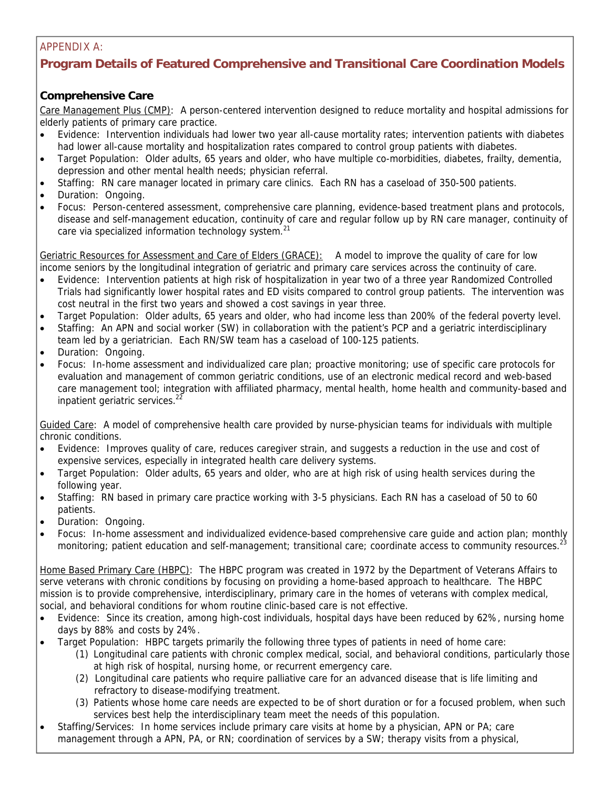# APPENDIX A:

# **Program Details of Featured Comprehensive and Transitional Care Coordination Models**

# **Comprehensive Care**

Care Management Plus (CMP): A person-centered intervention designed to reduce mortality and hospital admissions for elderly patients of primary care practice.

- Evidence: Intervention individuals had lower two year all-cause mortality rates; intervention patients with diabetes had lower all-cause mortality and hospitalization rates compared to control group patients with diabetes.
- Target Population: Older adults, 65 years and older, who have multiple co-morbidities, diabetes, frailty, dementia, depression and other mental health needs; physician referral.
- Staffing: RN care manager located in primary care clinics. Each RN has a caseload of 350-500 patients.
- Duration: Ongoing.
- Focus: Person-centered assessment, comprehensive care planning, evidence-based treatment plans and protocols, disease and self-management education, continuity of care and regular follow up by RN care manager, continuity of care via specialized information technology system.<sup>21</sup>

Geriatric Resources for Assessment and Care of Elders (GRACE): A model to improve the quality of care for low income seniors by the longitudinal integration of geriatric and primary care services across the continuity of care.

- Evidence: Intervention patients at high risk of hospitalization in year two of a three year Randomized Controlled Trials had significantly lower hospital rates and ED visits compared to control group patients. The intervention was cost neutral in the first two years and showed a cost savings in year three.
- Target Population: Older adults, 65 years and older, who had income less than 200% of the federal poverty level.
- Staffing: An APN and social worker (SW) in collaboration with the patient's PCP and a geriatric interdisciplinary team led by a geriatrician. Each RN/SW team has a caseload of 100-125 patients.
- Duration: Ongoing.
- Focus: In-home assessment and individualized care plan; proactive monitoring; use of specific care protocols for evaluation and management of common geriatric conditions, use of an electronic medical record and web-based care management tool; integration with affiliated pharmacy, mental health, home health and community-based and inpatient geriatric services. $22$

Guided Care: A model of comprehensive health care provided by nurse-physician teams for individuals with multiple chronic conditions.

- Evidence: Improves quality of care, reduces caregiver strain, and suggests a reduction in the use and cost of expensive services, especially in integrated health care delivery systems.
- Target Population: Older adults, 65 years and older, who are at high risk of using health services during the following year.
- Staffing: RN based in primary care practice working with 3-5 physicians. Each RN has a caseload of 50 to 60 patients.
- Duration: Ongoing.
- Focus: In-home assessment and individualized evidence-based comprehensive care guide and action plan; monthly monitoring; patient education and self-management; transitional care; coordinate access to community resources.<sup>23</sup>

Home Based Primary Care (HBPC): The HBPC program was created in 1972 by the Department of Veterans Affairs to serve veterans with chronic conditions by focusing on providing a home-based approach to healthcare. The HBPC mission is to provide comprehensive, interdisciplinary, primary care in the homes of veterans with complex medical, social, and behavioral conditions for whom routine clinic-based care is not effective.

- Evidence: Since its creation, among high-cost individuals, hospital days have been reduced by 62%, nursing home days by 88% and costs by 24%.
- Target Population: HBPC targets primarily the following three types of patients in need of home care:
	- (1) Longitudinal care patients with chronic complex medical, social, and behavioral conditions, particularly those at high risk of hospital, nursing home, or recurrent emergency care.
	- (2) Longitudinal care patients who require palliative care for an advanced disease that is life limiting and refractory to disease-modifying treatment.
	- (3) Patients whose home care needs are expected to be of short duration or for a focused problem, when such services best help the interdisciplinary team meet the needs of this population.
- Staffing/Services: In home services include primary care visits at home by a physician, APN or PA; care management through a APN, PA, or RN; coordination of services by a SW; therapy visits from a physical,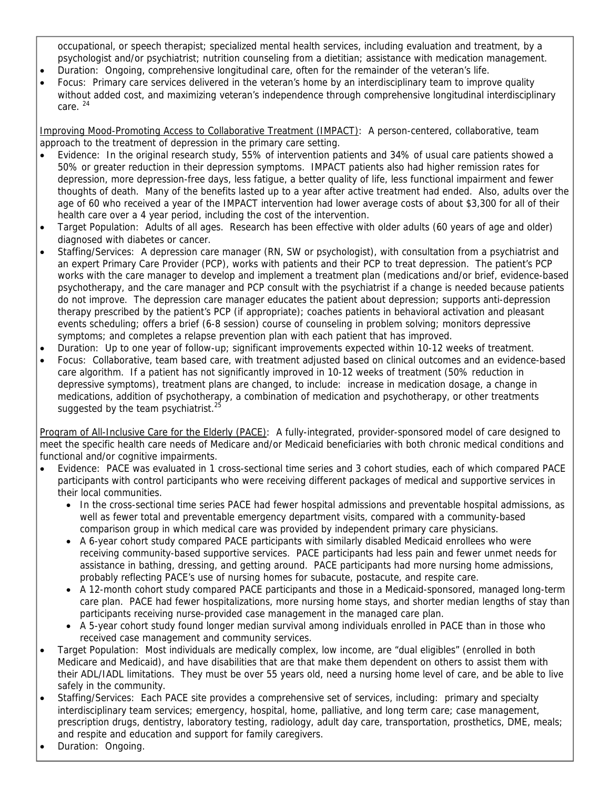occupational, or speech therapist; specialized mental health services, including evaluation and treatment, by a psychologist and/or psychiatrist; nutrition counseling from a dietitian; assistance with medication management.

- Duration: Ongoing, comprehensive longitudinal care, often for the remainder of the veteran's life.
- Focus: Primary care services delivered in the veteran's home by an interdisciplinary team to improve quality without added cost, and maximizing veteran's independence through comprehensive longitudinal interdisciplinary care. 24

Improving Mood-Promoting Access to Collaborative Treatment (IMPACT): A person-centered, collaborative, team approach to the treatment of depression in the primary care setting.

- Evidence: In the original research study, 55% of intervention patients and 34% of usual care patients showed a 50% or greater reduction in their depression symptoms. IMPACT patients also had higher remission rates for depression, more depression-free days, less fatigue, a better quality of life, less functional impairment and fewer thoughts of death. Many of the benefits lasted up to a year after active treatment had ended. Also, adults over the age of 60 who received a year of the IMPACT intervention had lower average costs of about \$3,300 for all of their health care over a 4 year period, including the cost of the intervention.
- Target Population: Adults of all ages. Research has been effective with older adults (60 years of age and older) diagnosed with diabetes or cancer.
- Staffing/Services: A depression care manager (RN, SW or psychologist), with consultation from a psychiatrist and an expert Primary Care Provider (PCP), works with patients and their PCP to treat depression. The patient's PCP works with the care manager to develop and implement a treatment plan (medications and/or brief, evidence-based psychotherapy, and the care manager and PCP consult with the psychiatrist if a change is needed because patients do not improve. The depression care manager educates the patient about depression; supports anti-depression therapy prescribed by the patient's PCP (if appropriate); coaches patients in behavioral activation and pleasant events scheduling; offers a brief (6-8 session) course of counseling in problem solving; monitors depressive symptoms; and completes a relapse prevention plan with each patient that has improved.
- Duration: Up to one year of follow-up; significant improvements expected within 10-12 weeks of treatment.
- Focus: Collaborative, team based care, with treatment adjusted based on clinical outcomes and an evidence-based care algorithm. If a patient has not significantly improved in 10-12 weeks of treatment (50% reduction in depressive symptoms), treatment plans are changed, to include: increase in medication dosage, a change in medications, addition of psychotherapy, a combination of medication and psychotherapy, or other treatments suggested by the team psychiatrist.<sup>25</sup>

Program of All-Inclusive Care for the Elderly (PACE): A fully-integrated, provider-sponsored model of care designed to meet the specific health care needs of Medicare and/or Medicaid beneficiaries with both chronic medical conditions and functional and/or cognitive impairments.

- Evidence: PACE was evaluated in 1 cross-sectional time series and 3 cohort studies, each of which compared PACE participants with control participants who were receiving different packages of medical and supportive services in their local communities.
	- In the cross-sectional time series PACE had fewer hospital admissions and preventable hospital admissions, as well as fewer total and preventable emergency department visits, compared with a community-based comparison group in which medical care was provided by independent primary care physicians.
	- A 6-year cohort study compared PACE participants with similarly disabled Medicaid enrollees who were receiving community-based supportive services. PACE participants had less pain and fewer unmet needs for assistance in bathing, dressing, and getting around. PACE participants had more nursing home admissions, probably reflecting PACE's use of nursing homes for subacute, postacute, and respite care.
	- A 12-month cohort study compared PACE participants and those in a Medicaid-sponsored, managed long-term care plan. PACE had fewer hospitalizations, more nursing home stays, and shorter median lengths of stay than participants receiving nurse-provided case management in the managed care plan.
	- A 5-year cohort study found longer median survival among individuals enrolled in PACE than in those who received case management and community services.
- Target Population: Most individuals are medically complex, low income, are "dual eligibles" (enrolled in both Medicare and Medicaid), and have disabilities that are that make them dependent on others to assist them with their ADL/IADL limitations. They must be over 55 years old, need a nursing home level of care, and be able to live safely in the community.
- Staffing/Services: Each PACE site provides a comprehensive set of services, including: primary and specialty interdisciplinary team services; emergency, hospital, home, palliative, and long term care; case management, prescription drugs, dentistry, laboratory testing, radiology, adult day care, transportation, prosthetics, DME, meals; and respite and education and support for family caregivers.
- Duration: Ongoing.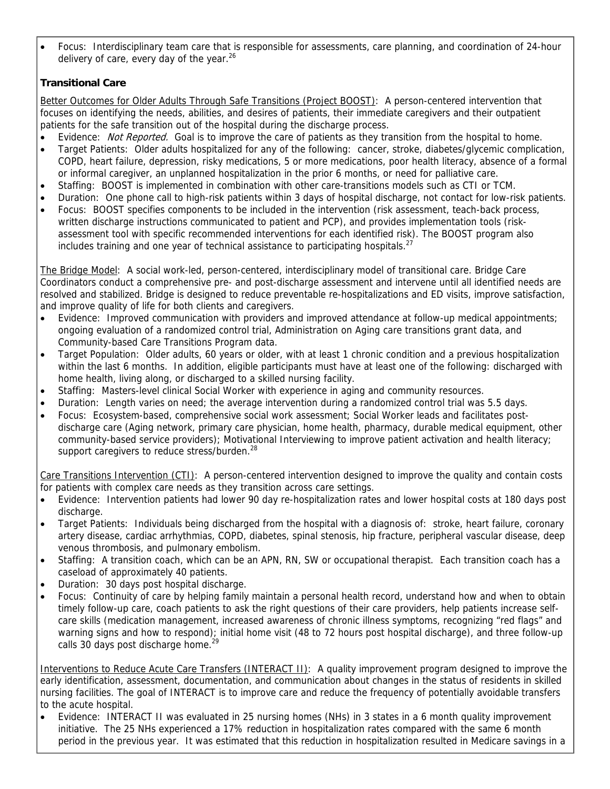Focus: Interdisciplinary team care that is responsible for assessments, care planning, and coordination of 24-hour delivery of care, every day of the year. $26$ 

# **Transitional Care**

Better Outcomes for Older Adults Through Safe Transitions (Project BOOST): A person-centered intervention that focuses on identifying the needs, abilities, and desires of patients, their immediate caregivers and their outpatient patients for the safe transition out of the hospital during the discharge process.

- Evidence: Not Reported. Goal is to improve the care of patients as they transition from the hospital to home.
- Target Patients: Older adults hospitalized for any of the following: cancer, stroke, diabetes/glycemic complication, COPD, heart failure, depression, risky medications, 5 or more medications, poor health literacy, absence of a formal or informal caregiver, an unplanned hospitalization in the prior 6 months, or need for palliative care.
- Staffing: BOOST is implemented in combination with other care-transitions models such as CTI or TCM.
- Duration: One phone call to high-risk patients within 3 days of hospital discharge, not contact for low-risk patients.
- Focus: BOOST specifies components to be included in the intervention (risk assessment, teach-back process, written discharge instructions communicated to patient and PCP), and provides implementation tools (riskassessment tool with specific recommended interventions for each identified risk). The BOOST program also includes training and one year of technical assistance to participating hospitals. $^{27}$

The Bridge Model: A social work-led, person-centered, interdisciplinary model of transitional care. Bridge Care Coordinators conduct a comprehensive pre- and post-discharge assessment and intervene until all identified needs are resolved and stabilized. Bridge is designed to reduce preventable re-hospitalizations and ED visits, improve satisfaction, and improve quality of life for both clients and caregivers.

- Evidence: Improved communication with providers and improved attendance at follow-up medical appointments; ongoing evaluation of a randomized control trial, Administration on Aging care transitions grant data, and Community-based Care Transitions Program data.
- Target Population: Older adults, 60 years or older, with at least 1 chronic condition and a previous hospitalization within the last 6 months. In addition, eligible participants must have at least one of the following: discharged with home health, living along, or discharged to a skilled nursing facility.
- Staffing: Masters-level clinical Social Worker with experience in aging and community resources.
- Duration: Length varies on need; the average intervention during a randomized control trial was 5.5 days.
- Focus: Ecosystem-based, comprehensive social work assessment; Social Worker leads and facilitates postdischarge care (Aging network, primary care physician, home health, pharmacy, durable medical equipment, other community-based service providers); Motivational Interviewing to improve patient activation and health literacy; support caregivers to reduce stress/burden.<sup>28</sup>

Care Transitions Intervention (CTI): A person-centered intervention designed to improve the quality and contain costs for patients with complex care needs as they transition across care settings.

- Evidence: Intervention patients had lower 90 day re-hospitalization rates and lower hospital costs at 180 days post discharge.
- Target Patients: Individuals being discharged from the hospital with a diagnosis of: stroke, heart failure, coronary artery disease, cardiac arrhythmias, COPD, diabetes, spinal stenosis, hip fracture, peripheral vascular disease, deep venous thrombosis, and pulmonary embolism.
- Staffing: A transition coach, which can be an APN, RN, SW or occupational therapist. Each transition coach has a caseload of approximately 40 patients.
- Duration: 30 days post hospital discharge.
- Focus: Continuity of care by helping family maintain a personal health record, understand how and when to obtain timely follow-up care, coach patients to ask the right questions of their care providers, help patients increase selfcare skills (medication management, increased awareness of chronic illness symptoms, recognizing "red flags" and warning signs and how to respond); initial home visit (48 to 72 hours post hospital discharge), and three follow-up calls 30 days post discharge home. $^{29}$

Interventions to Reduce Acute Care Transfers (INTERACT II): A quality improvement program designed to improve the early identification, assessment, documentation, and communication about changes in the status of residents in skilled nursing facilities. The goal of INTERACT is to improve care and reduce the frequency of potentially avoidable transfers to the acute hospital.

 Evidence: INTERACT II was evaluated in 25 nursing homes (NHs) in 3 states in a 6 month quality improvement initiative. The 25 NHs experienced a 17% reduction in hospitalization rates compared with the same 6 month period in the previous year. It was estimated that this reduction in hospitalization resulted in Medicare savings in a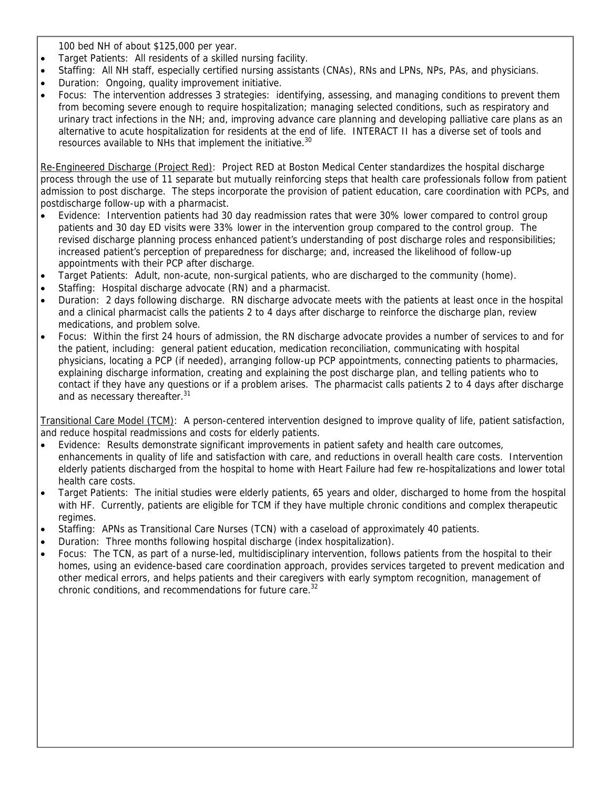100 bed NH of about \$125,000 per year.

- Target Patients: All residents of a skilled nursing facility.
- Staffing: All NH staff, especially certified nursing assistants (CNAs), RNs and LPNs, NPs, PAs, and physicians.
- Duration: Ongoing, quality improvement initiative.
- Focus: The intervention addresses 3 strategies: identifying, assessing, and managing conditions to prevent them from becoming severe enough to require hospitalization; managing selected conditions, such as respiratory and urinary tract infections in the NH; and, improving advance care planning and developing palliative care plans as an alternative to acute hospitalization for residents at the end of life. INTERACT II has a diverse set of tools and resources available to NHs that implement the initiative.<sup>30</sup>

Re-Engineered Discharge (Project Red): Project RED at Boston Medical Center standardizes the hospital discharge process through the use of 11 separate but mutually reinforcing steps that health care professionals follow from patient admission to post discharge. The steps incorporate the provision of patient education, care coordination with PCPs, and postdischarge follow-up with a pharmacist.

- Evidence: Intervention patients had 30 day readmission rates that were 30% lower compared to control group patients and 30 day ED visits were 33% lower in the intervention group compared to the control group. The revised discharge planning process enhanced patient's understanding of post discharge roles and responsibilities; increased patient's perception of preparedness for discharge; and, increased the likelihood of follow-up appointments with their PCP after discharge.
- Target Patients: Adult, non-acute, non-surgical patients, who are discharged to the community (home).
- Staffing: Hospital discharge advocate (RN) and a pharmacist.
- Duration: 2 days following discharge. RN discharge advocate meets with the patients at least once in the hospital and a clinical pharmacist calls the patients 2 to 4 days after discharge to reinforce the discharge plan, review medications, and problem solve.
- Focus: Within the first 24 hours of admission, the RN discharge advocate provides a number of services to and for the patient, including: general patient education, medication reconciliation, communicating with hospital physicians, locating a PCP (if needed), arranging follow-up PCP appointments, connecting patients to pharmacies, explaining discharge information, creating and explaining the post discharge plan, and telling patients who to contact if they have any questions or if a problem arises. The pharmacist calls patients 2 to 4 days after discharge and as necessary thereafter.<sup>31</sup>

Transitional Care Model (TCM): A person-centered intervention designed to improve quality of life, patient satisfaction, and reduce hospital readmissions and costs for elderly patients.

- Evidence: Results demonstrate significant improvements in patient safety and health care outcomes, enhancements in quality of life and satisfaction with care, and reductions in overall health care costs. Intervention elderly patients discharged from the hospital to home with Heart Failure had few re-hospitalizations and lower total health care costs.
- Target Patients: The initial studies were elderly patients, 65 years and older, discharged to home from the hospital with HF. Currently, patients are eligible for TCM if they have multiple chronic conditions and complex therapeutic regimes.
- Staffing: APNs as Transitional Care Nurses (TCN) with a caseload of approximately 40 patients.
- Duration: Three months following hospital discharge (index hospitalization).
- Focus: The TCN, as part of a nurse-led, multidisciplinary intervention, follows patients from the hospital to their homes, using an evidence-based care coordination approach, provides services targeted to prevent medication and other medical errors, and helps patients and their caregivers with early symptom recognition, management of chronic conditions, and recommendations for future care.<sup>32</sup>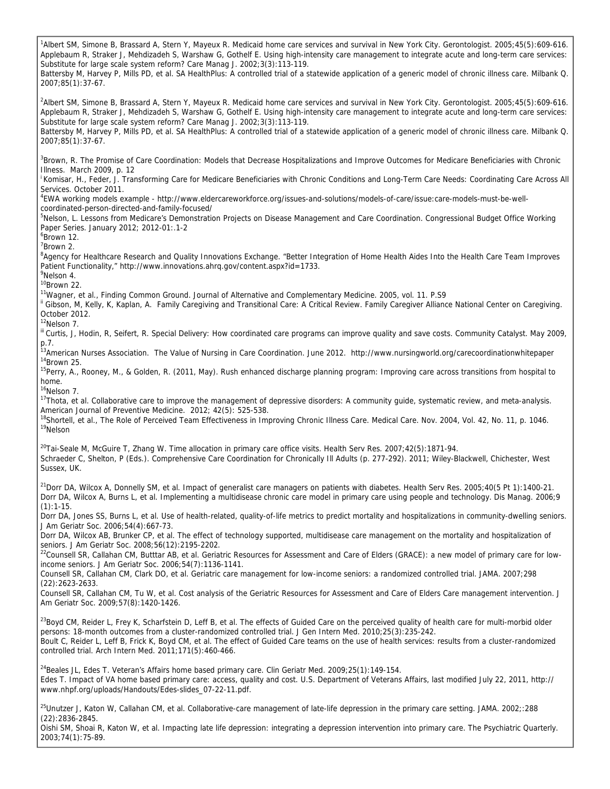<sup>1</sup>Albert SM, Simone B, Brassard A, Stern Y, Mayeux R. Medicaid home care services and survival in New York City. Gerontologist. 2005;45(5):609-616. Applebaum R, Straker J, Mehdizadeh S, Warshaw G, Gothelf E. Using high-intensity care management to integrate acute and long-term care services: Substitute for large scale system reform? Care Manag J. 2002;3(3):113-119. Battersby M, Harvey P, Mills PD, et al. SA HealthPlus: A controlled trial of a statewide application of a generic model of chronic illness care. Milbank Q. 2007;85(1):37-67. 2 Albert SM, Simone B, Brassard A, Stern Y, Mayeux R. Medicaid home care services and survival in New York City. Gerontologist. 2005;45(5):609-616. Applebaum R, Straker J, Mehdizadeh S, Warshaw G, Gothelf E. Using high-intensity care management to integrate acute and long-term care services: Substitute for large scale system reform? Care Manag J. 2002;3(3):113-119. Battersby M, Harvey P, Mills PD, et al. SA HealthPlus: A controlled trial of a statewide application of a generic model of chronic illness care. Milbank Q. 2007;85(1):37-67. <sup>3</sup>Brown, R. The Promise of Care Coordination: Models that Decrease Hospitalizations and Improve Outcomes for Medicare Beneficiaries with Chronic Illness. March 2009, p. 12 i Komisar, H., Feder, J. Transforming Care for Medicare Beneficiaries with Chronic Conditions and Long-Term Care Needs: Coordinating Care Across All Services. October 2011. 4 EWA working models example - http://www.eldercareworkforce.org/issues-and-solutions/models-of-care/issue:care-models-must-be-wellcoordinated-person-directed-and-family-focused/ <sup>5</sup>Nelson, L. Lessons from Medicare's Demonstration Projects on Disease Management and Care Coordination. Congressional Budget Office Working Paper Series. January 2012; 2012-01:.1-2 6 Brown 12. 7 Brown 2. <sup>8</sup>Agency for Healthcare Research and Quality Innovations Exchange. "Better Integration of Home Health Aides Into the Health Care Team Improves Patient Functionality," http://www.innovations.ahrq.gov/content.aspx?id=1733. <sup>9</sup>Nelson 4. <sup>10</sup>Brown 22.<br><sup>11</sup>Wagner, et al., Finding Common Ground. Journal of Alternative and Complementary Medicine. 2005, vol. 11. P.S9 " Gibson, M, Kelly, K, Kaplan, A. Family Caregiving and Transitional Care: A Critical Review. Family Caregiver Alliance National Center on Caregiving. October 2012. <sup>12</sup>Nelson 7. III Curtis, J, Hodin, R, Seifert, R. Special Delivery: How coordinated care programs can improve quality and save costs. Community Catalyst. May 2009, p.7. <sup>13</sup>American Nurses Association. The Value of Nursing in Care Coordination. June 2012. http://www.nursingworld.org/carecoordinationwhitepaper<br><sup>14</sup>Brown 25. 14Brown 25.<br><sup>14</sup>Brown 25.<br><sup>15</sup>Perry, A., Rooney, M., & Golden, R. (2011, May). Rush enhanced discharge planning program: Improving care across transitions from hospital to home. <sup>16</sup>Nelson 7. <sup>17</sup>Thota, et al. Collaborative care to improve the management of depressive disorders: A community guide, systematic review, and meta-analysis. American Journal of Preventive Medicine. 2012; 42(5): 525-538. <sup>18</sup>Shortell, et al., The Role of Perceived Team Effectiveness in Improving Chronic Illness Care. Medical Care. Nov. 2004, Vol. 42, No. 11, p. 1046.<br><sup>19</sup>Nelson  $^{20}$ Tai-Seale M, McGuire T, Zhang W. Time allocation in primary care office visits. Health Serv Res. 2007;42(5):1871-94. Schraeder C, Shelton, P (Eds.). Comprehensive Care Coordination for Chronically Ill Adults (p. 277-292). 2011; Wiley-Blackwell, Chichester, West Sussex, UK. <sup>21</sup>Dorr DA, Wilcox A, Donnelly SM, et al. Impact of generalist care managers on patients with diabetes. Health Serv Res. 2005;40(5 Pt 1):1400-21. Dorr DA, Wilcox A, Burns L, et al. Implementing a multidisease chronic care model in primary care using people and technology. Dis Manag. 2006;9  $(1):1-15.$ Dorr DA, Jones SS, Burns L, et al. Use of health-related, quality-of-life metrics to predict mortality and hospitalizations in community-dwelling seniors. J Am Geriatr Soc. 2006;54(4):667-73. Dorr DA, Wilcox AB, Brunker CP, et al. The effect of technology supported, multidisease care management on the mortality and hospitalization of seniors. J Am Geriatr Soc. 2008;56(12):2195-2202. <sup>22</sup>Counsell SR, Callahan CM, Butttar AB, et al. Geriatric Resources for Assessment and Care of Elders (GRACE): a new model of primary care for lowincome seniors. J Am Geriatr Soc. 2006;54(7):1136-1141. Counsell SR, Callahan CM, Clark DO, et al. Geriatric care management for low-income seniors: a randomized controlled trial. JAMA. 2007;298 (22):2623-2633. Counsell SR, Callahan CM, Tu W, et al. Cost analysis of the Geriatric Resources for Assessment and Care of Elders Care management intervention. J Am Geriatr Soc. 2009;57(8):1420-1426.  $^{23}$ Boyd CM, Reider L, Frey K, Scharfstein D, Leff B, et al. The effects of Guided Care on the perceived quality of health care for multi-morbid older persons: 18-month outcomes from a cluster-randomized controlled trial. J Gen Intern Med. 2010;25(3):235-242. Boult C, Reider L, Leff B, Frick K, Boyd CM, et al. The effect of Guided Care teams on the use of health services: results from a cluster-randomized controlled trial. Arch Intern Med. 2011;171(5):460-466. <sup>24</sup>Beales JL, Edes T. Veteran's Affairs home based primary care. Clin Geriatr Med. 2009;25(1):149-154. Edes T. Impact of VA home based primary care: access, quality and cost. U.S. Department of Veterans Affairs, last modified July 22, 2011, http:// www.nhpf.org/uploads/Handouts/Edes-slides\_07-22-11.pdf. <sup>25</sup>Unutzer J, Katon W, Callahan CM, et al. Collaborative-care management of late-life depression in the primary care setting. JAMA. 2002;:288 (22):2836-2845.

Oishi SM, Shoai R, Katon W, et al. Impacting late life depression: integrating a depression intervention into primary care. The Psychiatric Quarterly. 2003;74(1):75-89.